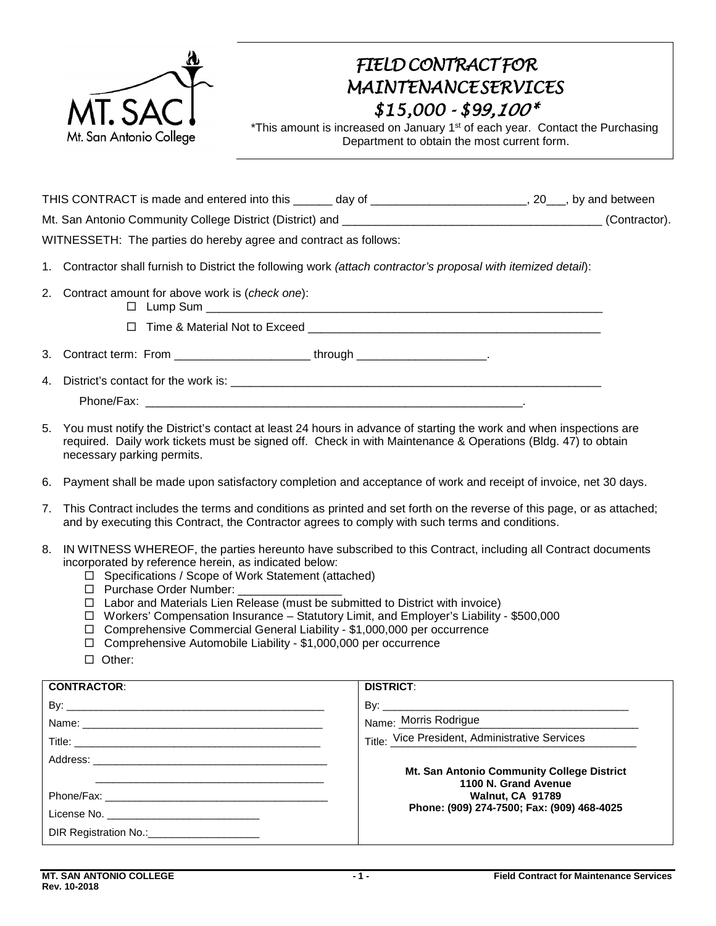

## *FIELD CONTRACTFOR MAINTENANCESERVICES \$15,000 - \$99,100\**

\*This amount is increased on January 1<sup>st</sup> of each year. Contact the Purchasing Department to obtain the most current form.

THIS CONTRACT is made and entered into this \_\_\_\_\_\_ day of \_\_\_\_\_\_\_\_\_\_\_\_\_\_\_\_\_\_\_\_\_\_, 20\_\_, by and between Mt. San Antonio Community College District (District) and \_\_\_\_\_\_\_\_\_\_\_\_\_\_\_\_\_\_\_\_\_\_\_\_\_\_\_\_\_\_\_\_\_\_\_\_\_\_\_\_ (Contractor). WITNESSETH: The parties do hereby agree and contract as follows:

- 1. Contractor shall furnish to District the following work *(attach contractor's proposal with itemized detail*):
- 2. Contract amount for above work is (*check one*):
	- $\Box$  Lump Sum

 $\Box$  Time & Material Not to Exceed

| $\sim$<br>J. | `ontract term:<br>. | rom- | through |  |
|--------------|---------------------|------|---------|--|
|--------------|---------------------|------|---------|--|

4. District's contact for the work is:

Phone/Fax: **with a strategies of the strategies of the strategies of the strategies of the strategies of the strategies of the strategies of the strategies of the strategies of the strategies of the strategies of the strat** 

- 5. You must notify the District's contact at least 24 hours in advance of starting the work and when inspections are required. Daily work tickets must be signed off. Check in with Maintenance & Operations (Bldg. 47) to obtain necessary parking permits.
- 6. Payment shall be made upon satisfactory completion and acceptance of work and receipt of invoice, net 30 days.
- 7. This Contract includes the terms and conditions as printed and set forth on the reverse of this page, or as attached; and by executing this Contract, the Contractor agrees to comply with such terms and conditions.
- 8. IN WITNESS WHEREOF, the parties hereunto have subscribed to this Contract, including all Contract documents incorporated by reference herein, as indicated below:
	- □ Specifications / Scope of Work Statement (attached)
	- □ Purchase Order Number:
	- $\Box$  Labor and Materials Lien Release (must be submitted to District with invoice)
	- Workers' Compensation Insurance Statutory Limit, and Employer's Liability \$500,000
	- $\Box$  Comprehensive Commercial General Liability \$1,000,000 per occurrence
	- □ Comprehensive Automobile Liability \$1,000,000 per occurrence
	- □ Other:

| <b>CONTRACTOR:</b>                             | <b>DISTRICT:</b>                                |
|------------------------------------------------|-------------------------------------------------|
|                                                |                                                 |
|                                                | Name: Morris Rodrigue                           |
|                                                | Title: Vice President, Administrative Services  |
|                                                | Mt. San Antonio Community College District      |
|                                                | 1100 N. Grand Avenue<br><b>Walnut, CA 91789</b> |
| License No. __________________________________ | Phone: (909) 274-7500; Fax: (909) 468-4025      |
| DIR Registration No.:_______________________   |                                                 |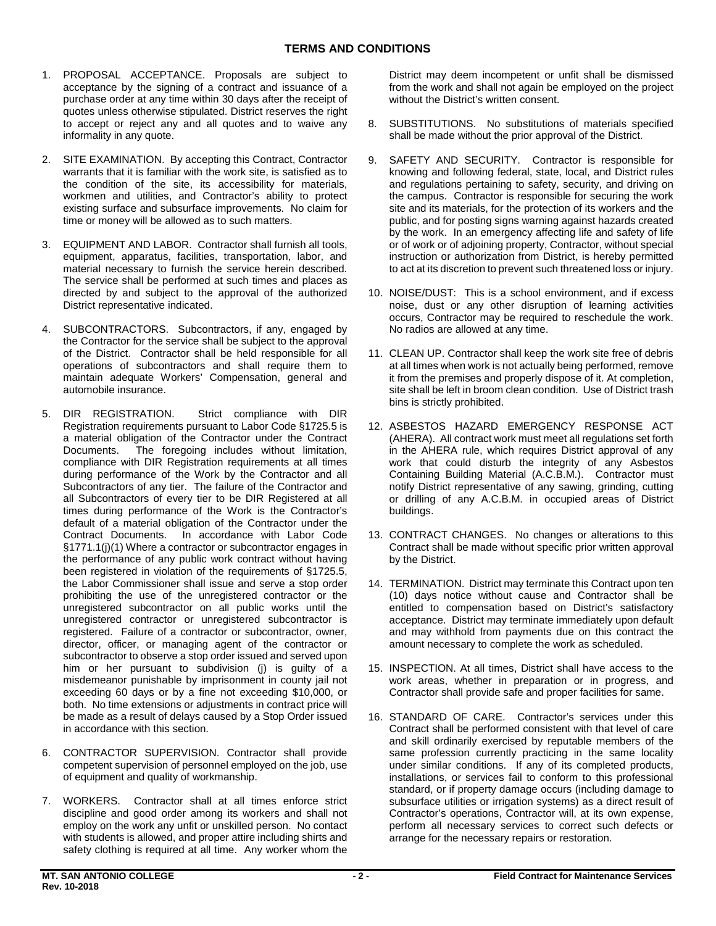- acceptance by the signing of a contract and issuance of a purchase order at any time within 30 days after the receipt of quotes unless otherwise stipulated. District reserves the right to accept or reject any and all quotes and to waive any 1. PROPOSAL ACCEPTANCE. Proposals are subject to informality in any quote.
- warrants that it is familiar with the work site, is satisfied as to existing surface and subsurface improvements. No claim for 2. SITE EXAMINATION. By accepting this Contract, Contractor the condition of the site, its accessibility for materials, workmen and utilities, and Contractor's ability to protect time or money will be allowed as to such matters.
- 3. EQUIPMENT AND LABOR. Contractor shall furnish all tools, material necessary to furnish the service herein described. equipment, apparatus, facilities, transportation, labor, and The service shall be performed at such times and places as directed by and subject to the approval of the authorized District representative indicated.
- 4. SUBCONTRACTORS. Subcontractors, if any, engaged by the Contractor for the service shall be subject to the approval of the District. Contractor shall be held responsible for all operations of subcontractors and shall require them to maintain adequate Workers' Compensation, general and automobile insurance.
- a material obligation of the Contractor under the Contract Documents. The foregoing includes without limitation, default of a material obligation of the Contractor under the Contract Documents. In accordance with Labor Code §1771.1(j)(1) Where a contractor or subcontractor engages in been registered in violation of the requirements of §1725.5, the Labor Commissioner shall issue and serve a stop order prohibiting the use of the unregistered contractor or the unregistered subcontractor on all public works until the registered. Failure of a contractor or subcontractor, owner, him or her pursuant to subdivision (j) is guilty of a misdemeanor punishable by imprisonment in county jail not exceeding 60 days or by a fine not exceeding \$10,000, or both. No time extensions or adjustments in contract price will 5. DIR REGISTRATION. Strict compliance with DIR Registration requirements pursuant to Labor Code §1725.5 is compliance with DIR Registration requirements at all times during performance of the Work by the Contractor and all Subcontractors of any tier. The failure of the Contractor and all Subcontractors of every tier to be DIR Registered at all times during performance of the Work is the Contractor's the performance of any public work contract without having unregistered contractor or unregistered subcontractor is director, officer, or managing agent of the contractor or subcontractor to observe a stop order issued and served upon be made as a result of delays caused by a Stop Order issued in accordance with this section.
- competent supervision of personnel employed on the job, use 6. CONTRACTOR SUPERVISION. Contractor shall provide of equipment and quality of workmanship.
- 7. WORKERS. Contractor shall at all times enforce strict discipline and good order among its workers and shall not employ on the work any unfit or unskilled person. No contact with students is allowed, and proper attire including shirts and safety clothing is required at all time. Any worker whom the

District may deem incompetent or unfit shall be dismissed from the work and shall not again be employed on the project without the District's written consent.

- 8. SUBSTITUTIONS. No substitutions of materials specified shall be made without the prior approval of the District.
- 9. SAFETY AND SECURITY. Contractor is responsible for or of work or of adjoining property, Contractor, without special to act at its discretion to prevent such threatened loss or injury. knowing and following federal, state, local, and District rules and regulations pertaining to safety, security, and driving on the campus. Contractor is responsible for securing the work site and its materials, for the protection of its workers and the public, and for posting signs warning against hazards created by the work. In an emergency affecting life and safety of life instruction or authorization from District, is hereby permitted
- 10. NOISE/DUST: This is a school environment, and if excess occurs, Contractor may be required to reschedule the work. noise, dust or any other disruption of learning activities No radios are allowed at any time.
- 11. CLEAN UP. Contractor shall keep the work site free of debris at all times when work is not actually being performed, remove site shall be left in broom clean condition. Use of District trash it from the premises and properly dispose of it. At completion, bins is strictly prohibited.
- (AHERA). All contract work must meet all regulations set forth in the AHERA rule, which requires District approval of any Containing Building Material (A.C.B.M.). Contractor must notify District representative of any sawing, grinding, cutting or drilling of any A.C.B.M. in occupied areas of District 12. ASBESTOS HAZARD EMERGENCY RESPONSE ACT work that could disturb the integrity of any Asbestos buildings.
- 13. CONTRACT CHANGES. No changes or alterations to this Contract shall be made without specific prior written approval by the District.
- (10) days notice without cause and Contractor shall be 14. TERMINATION. District may terminate this Contract upon ten entitled to compensation based on District's satisfactory acceptance. District may terminate immediately upon default and may withhold from payments due on this contract the amount necessary to complete the work as scheduled.
- 15. INSPECTION. At all times, District shall have access to the work areas, whether in preparation or in progress, and Contractor shall provide safe and proper facilities for same.
- 16. STANDARD OF CARE. Contractor's services under this and skill ordinarily exercised by reputable members of the under similar conditions. If any of its completed products, subsurface utilities or irrigation systems) as a direct result of Contractor's operations, Contractor will, at its own expense, perform all necessary services to correct such defects or Contract shall be performed consistent with that level of care same profession currently practicing in the same locality installations, or services fail to conform to this professional standard, or if property damage occurs (including damage to arrange for the necessary repairs or restoration.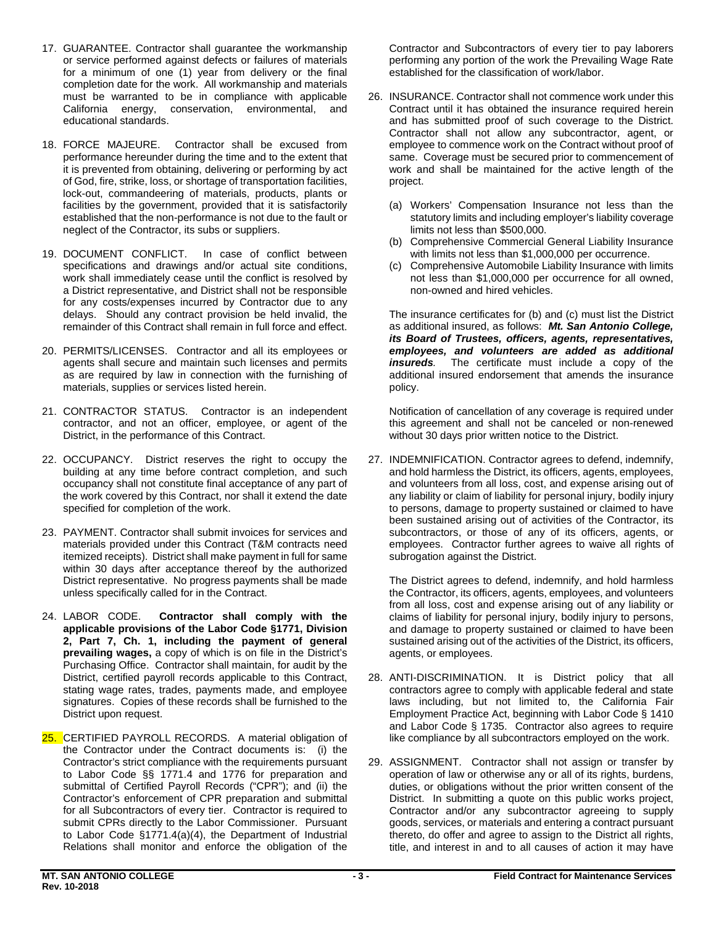- or service performed against defects or failures of materials California energy, conservation, environmental, and educational standards. 17. GUARANTEE. Contractor shall guarantee the workmanship for a minimum of one (1) year from delivery or the final completion date for the work. All workmanship and materials must be warranted to be in compliance with applicable<br>California energy, conservation, environmental, and
- educational standards. 18. FORCE MAJEURE. Contractor shall be excused from it is prevented from obtaining, delivering or performing by act established that the non-performance is not due to the fault or performance hereunder during the time and to the extent that of God, fire, strike, loss, or shortage of transportation facilities, lock-out, commandeering of materials, products, plants or facilities by the government, provided that it is satisfactorily neglect of the Contractor, its subs or suppliers.
- specifications and drawings and/or actual site conditions, work shall immediately cease until the conflict is resolved by a District representative, and District shall not be responsible for any costs/expenses incurred by Contractor due to any delays. Should any contract provision be held invalid, the remainder of this Contract shall remain in full force and effect. 19. DOCUMENT CONFLICT. In case of conflict between
- materials, supplies or services listed herein. 20. PERMITS/LICENSES. Contractor and all its employees or agents shall secure and maintain such licenses and permits as are required by law in connection with the furnishing of
- 21. CONTRACTOR STATUS. Contractor is an independent contractor, and not an officer, employee, or agent of the District, in the performance of this Contract.
- building at any time before contract completion, and such 22. OCCUPANCY. District reserves the right to occupy the occupancy shall not constitute final acceptance of any part of the work covered by this Contract, nor shall it extend the date specified for completion of the work.
- itemized receipts). District shall make payment in full for same 23. PAYMENT. Contractor shall submit invoices for services and materials provided under this Contract (T&M contracts need within 30 days after acceptance thereof by the authorized District representative. No progress payments shall be made unless specifically called for in the Contract.
- 24. LABOR CODE. Purchasing Office. Contractor shall maintain, for audit by the signatures. Copies of these records shall be furnished to the Contractor shall comply with the **applicable provisions of the Labor Code §1771, Division 2, Part 7, Ch. 1, including the payment of general prevailing wages,** a copy of which is on file in the District's District, certified payroll records applicable to this Contract, stating wage rates, trades, payments made, and employee District upon request.
- the Contractor under the Contract documents is: (i) the Contractor's strict compliance with the requirements pursuant Contractor's enforcement of CPR preparation and submittal for all Subcontractors of every tier. Contractor is required to Relations shall monitor and enforce the obligation of the 25. CERTIFIED PAYROLL RECORDS. A material obligation of to Labor Code §§ 1771.4 and 1776 for preparation and submittal of Certified Payroll Records ("CPR"); and (ii) the submit CPRs directly to the Labor Commissioner. Pursuant to Labor Code §1771.4(a)(4), the Department of Industrial

 performing any portion of the work the Prevailing Wage Rate Contractor and Subcontractors of every tier to pay laborers established for the classification of work/labor.

- Contract until it has obtained the insurance required herein employee to commence work on the Contract without proof of same. Coverage must be secured prior to commencement of 26. INSURANCE. Contractor shall not commence work under this and has submitted proof of such coverage to the District. Contractor shall not allow any subcontractor, agent, or work and shall be maintained for the active length of the project.
	- (a) Workers' Compensation Insurance not less than the statutory limits and including employer's liability coverage limits not less than \$500,000.
	- (b) Comprehensive Commercial General Liability Insurance with limits not less than \$1,000,000 per occurrence.
	- not less than \$1,000,000 per occurrence for all owned, (c) Comprehensive Automobile Liability Insurance with limits non-owned and hired vehicles.

 as additional insured, as follows: *Mt. San Antonio College, its Board of Trustees, officers, agents, representatives, insureds.* The certificate must include a copy of the The insurance certificates for (b) and (c) must list the District *employees, and volunteers are added as additional*  additional insured endorsement that amends the insurance policy.

Notification of cancellation of any coverage is required under this agreement and shall not be canceled or non-renewed without 30 days prior written notice to the District.

 27. INDEMNIFICATION. Contractor agrees to defend, indemnify, and hold harmless the District, its officers, agents, employees, and volunteers from all loss, cost, and expense arising out of to persons, damage to property sustained or claimed to have been sustained arising out of activities of the Contractor, its subcontractors, or those of any of its officers, agents, or any liability or claim of liability for personal injury, bodily injury employees. Contractor further agrees to waive all rights of subrogation against the District.

 the Contractor, its officers, agents, employees, and volunteers claims of liability for personal injury, bodily injury to persons, sustained arising out of the activities of the District, its officers, The District agrees to defend, indemnify, and hold harmless from all loss, cost and expense arising out of any liability or and damage to property sustained or claimed to have been agents, or employees.

- 28. ANTI-DISCRIMINATION. It is District policy that all contractors agree to comply with applicable federal and state laws including, but not limited to, the California Fair Employment Practice Act, beginning with Labor Code § 1410 and Labor Code § 1735. Contractor also agrees to require like compliance by all subcontractors employed on the work.
- 29. ASSIGNMENT. Contractor shall not assign or transfer by operation of law or otherwise any or all of its rights, burdens, District. In submitting a quote on this public works project, title, and interest in and to all causes of action it may have duties, or obligations without the prior written consent of the Contractor and/or any subcontractor agreeing to supply goods, services, or materials and entering a contract pursuant thereto, do offer and agree to assign to the District all rights,